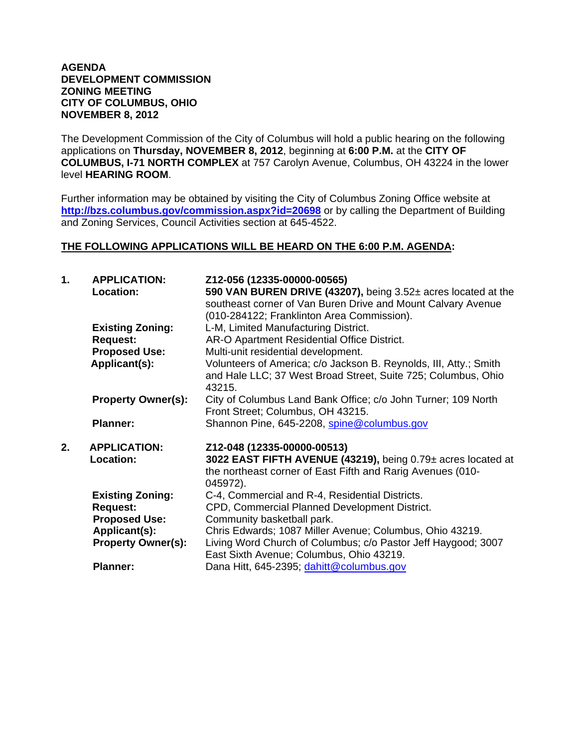## **AGENDA DEVELOPMENT COMMISSION ZONING MEETING CITY OF COLUMBUS, OHIO NOVEMBER 8, 2012**

The Development Commission of the City of Columbus will hold a public hearing on the following applications on **Thursday, NOVEMBER 8, 2012**, beginning at **6:00 P.M.** at the **CITY OF COLUMBUS, I-71 NORTH COMPLEX** at 757 Carolyn Avenue, Columbus, OH 43224 in the lower level **HEARING ROOM**.

Further information may be obtained by visiting the City of Columbus Zoning Office website at **http://bzs.columbus.gov/commission.aspx?id=20698** or by calling the Department of Building and Zoning Services, Council Activities section at 645-4522.

## **THE FOLLOWING APPLICATIONS WILL BE HEARD ON THE 6:00 P.M. AGENDA:**

| 1. | <b>APPLICATION:</b><br>Location:           | Z12-056 (12335-00000-00565)<br>590 VAN BUREN DRIVE (43207), being 3.52± acres located at the<br>southeast corner of Van Buren Drive and Mount Calvary Avenue<br>(010-284122; Franklinton Area Commission). |
|----|--------------------------------------------|------------------------------------------------------------------------------------------------------------------------------------------------------------------------------------------------------------|
|    | <b>Existing Zoning:</b><br><b>Request:</b> | L-M, Limited Manufacturing District.<br>AR-O Apartment Residential Office District.                                                                                                                        |
|    | <b>Proposed Use:</b>                       | Multi-unit residential development.                                                                                                                                                                        |
|    | Applicant(s):                              | Volunteers of America; c/o Jackson B. Reynolds, III, Atty.; Smith<br>and Hale LLC; 37 West Broad Street, Suite 725; Columbus, Ohio<br>43215.                                                               |
|    | <b>Property Owner(s):</b>                  | City of Columbus Land Bank Office; c/o John Turner; 109 North<br>Front Street; Columbus, OH 43215.                                                                                                         |
|    | <b>Planner:</b>                            | Shannon Pine, 645-2208, spine@columbus.gov                                                                                                                                                                 |
| 2. | <b>APPLICATION:</b><br>Location:           | Z12-048 (12335-00000-00513)<br>3022 EAST FIFTH AVENUE (43219), being 0.79± acres located at<br>the northeast corner of East Fifth and Rarig Avenues (010-<br>045972).                                      |
|    | <b>Existing Zoning:</b>                    | C-4, Commercial and R-4, Residential Districts.                                                                                                                                                            |
|    | <b>Request:</b>                            | CPD, Commercial Planned Development District.                                                                                                                                                              |
|    | <b>Proposed Use:</b>                       | Community basketball park.                                                                                                                                                                                 |
|    | Applicant(s):                              | Chris Edwards; 1087 Miller Avenue; Columbus, Ohio 43219.                                                                                                                                                   |
|    | <b>Property Owner(s):</b>                  | Living Word Church of Columbus; c/o Pastor Jeff Haygood; 3007<br>East Sixth Avenue; Columbus, Ohio 43219.                                                                                                  |
|    | <b>Planner:</b>                            | Dana Hitt, 645-2395; dahitt@columbus.gov                                                                                                                                                                   |